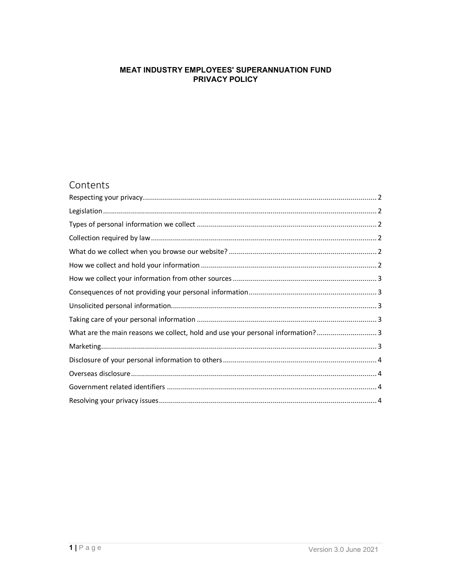# **MEAT INDUSTRY EMPLOYEES' SUPERANNUATION FUND** PRIVACY POLICY

# Contents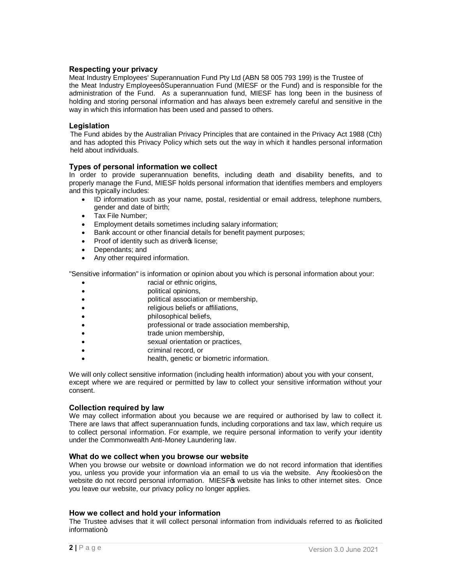# **Respecting your privacy**

Meat Industry Employees' Superannuation Fund Pty Ltd (ABN 58 005 793 199) is the Trustee of the Meat Industry Employeesq Superannuation Fund (MIESF or the Fund) and is responsible for the administration of the Fund. As a superannuation fund, MIESF has long been in the business of holding and storing personal information and has always been extremely careful and sensitive in the way in which this information has been used and passed to others.

### **Legislation**

The Fund abides by the Australian Privacy Principles that are contained in the Privacy Act 1988 (Cth) and has adopted this Privacy Policy which sets out the way in which it handles personal information held about individuals.

## **Types of personal information we collect**

In order to provide superannuation benefits, including death and disability benefits, and to properly manage the Fund, MIESF holds personal information that identifies members and employers and this typically includes:

- · ID information such as your name, postal, residential or email address, telephone numbers, gender and date of birth;
- · Tax File Number;
- · Employment details sometimes including salary information;
- · Bank account or other financial details for benefit payment purposes;
- Proof of identity such as driver of license;
- Dependants; and
- Any other required information.

"Sensitive information" is information or opinion about you which is personal information about your:

- racial or ethnic origins,
- · political opinions,
- · political association or membership,
- religious beliefs or affiliations,
- · philosophical beliefs,
- · professional or trade association membership,
- trade union membership,
- sexual orientation or practices,
- criminal record, or
- health, genetic or biometric information.

We will only collect sensitive information (including health information) about you with your consent, except where we are required or permitted by law to collect your sensitive information without your consent.

#### **Collection required by law**

We may collect information about you because we are required or authorised by law to collect it. There are laws that affect superannuation funds, including corporations and tax law, which require us to collect personal information. For example, we require personal information to verify your identity under the Commonwealth Anti-Money Laundering law.

#### **What do we collect when you browse our website**

When you browse our website or download information we do not record information that identifies you, unless you provide your information via an email to us via the website. Any % cookies+ on the website do not record personal information. MIESFG website has links to other internet sites. Once you leave our website, our privacy policy no longer applies.

#### **How we collect and hold your information**

<span id="page-1-5"></span><span id="page-1-4"></span><span id="page-1-3"></span><span id="page-1-2"></span><span id="page-1-1"></span><span id="page-1-0"></span>The Trustee advises that it will collect personal information from individuals referred to as "solicited  $information+$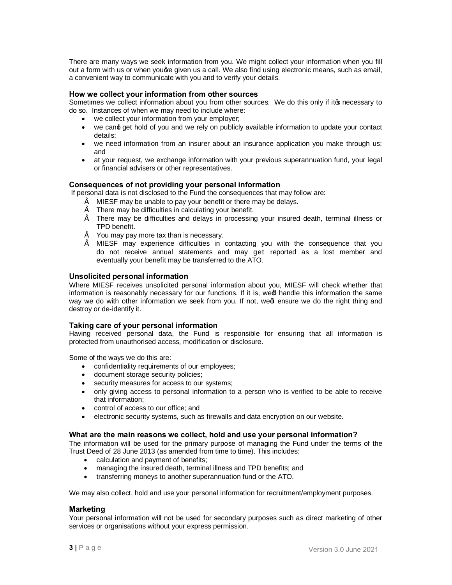There are many ways we seek information from you. We might collect your information when you fill out a form with us or when youqve given us a call. We also find using electronic means, such as email, a convenient way to communicate with you and to verify your details.

### **How we collect your information from other sources**

Sometimes we collect information about you from other sources. We do this only if itos necessary to do so. Instances of when we may need to include where:

- · we collect your information from your employer;
- we cand get hold of you and we rely on publicly available information to update your contact details;
- · we need information from an insurer about an insurance application you make through us; and
- at your request, we exchange information with your previous superannuation fund, your legal or financial advisers or other representatives.

#### **Consequences of not providing your personal information**

If personal data is not disclosed to the Fund the consequences that may follow are:

 $\degree$  MIESF may be unable to pay your benefit or there may be delays.<br> $\degree$  There may be difficulties in sole ultima your benefit.

- " There may be difficulties in calculating your benefit.
- There may be difficulties and delays in processing your insured death, terminal illness or TPD benefit.
- You may pay more tax than is necessary.
- MIESF may experience difficulties in contacting you with the consequence that you do not receive annual statements and may get reported as a lost member and eventually your benefit may be transferred to the ATO.

#### **Unsolicited personal information**

Where MIESF receives unsolicited personal information about you, MIESF will check whether that information is reasonably necessary for our functions. If it is, wed handle this information the same way we do with other information we seek from you. If not, wed ensure we do the right thing and destroy or de-identify it.

#### **Taking care of your personal information**

Having received personal data, the Fund is responsible for ensuring that all information is protected from unauthorised access, modification or disclosure.

Some of the ways we do this are:

- · confidentiality requirements of our employees;
- · document storage security policies;
- · security measures for access to our systems;
- · only giving access to personal information to a person who is verified to be able to receive that information;
- · control of access to our office; and
- · electronic security systems, such as firewalls and data encryption on our website.

#### **What are the main reasons we collect, hold and use your personal information?**

The information will be used for the primary purpose of managing the Fund under the terms of the Trust Deed of 28 June 2013 (as amended from time to time). This includes:

- calculation and payment of benefits;
- managing the insured death, terminal illness and TPD benefits; and
- <span id="page-2-3"></span><span id="page-2-2"></span><span id="page-2-1"></span><span id="page-2-0"></span>transferring moneys to another superannuation fund or the ATO.

We may also collect, hold and use your personal information for recruitment/employment purposes.

#### **Marketing**

<span id="page-2-5"></span><span id="page-2-4"></span>Your personal information will not be used for secondary purposes such as direct marketing of other services or organisations without your express permission.